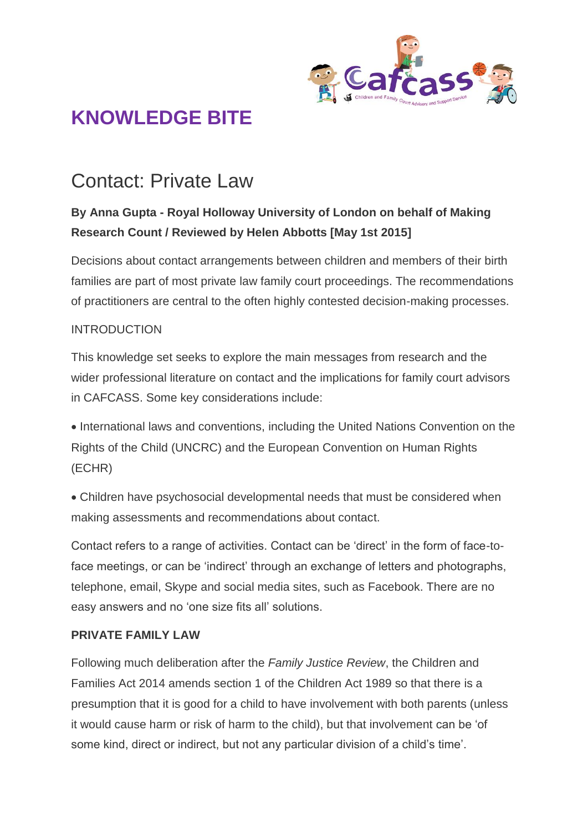

## Contact: Private Law

#### **By Anna Gupta - Royal Holloway University of London on behalf of Making Research Count / Reviewed by Helen Abbotts [May 1st 2015]**

Decisions about contact arrangements between children and members of their birth families are part of most private law family court proceedings. The recommendations of practitioners are central to the often highly contested decision-making processes.

#### INTRODUCTION

This knowledge set seeks to explore the main messages from research and the wider professional literature on contact and the implications for family court advisors in CAFCASS. Some key considerations include:

 International laws and conventions, including the United Nations Convention on the Rights of the Child (UNCRC) and the European Convention on Human Rights (ECHR)

 Children have psychosocial developmental needs that must be considered when making assessments and recommendations about contact.

Contact refers to a range of activities. Contact can be 'direct' in the form of face-toface meetings, or can be 'indirect' through an exchange of letters and photographs, telephone, email, Skype and social media sites, such as Facebook. There are no easy answers and no 'one size fits all' solutions.

#### **PRIVATE FAMILY LAW**

Following much deliberation after the *Family Justice Review*, the Children and Families Act 2014 amends section 1 of the Children Act 1989 so that there is a presumption that it is good for a child to have involvement with both parents (unless it would cause harm or risk of harm to the child), but that involvement can be 'of some kind, direct or indirect, but not any particular division of a child's time'.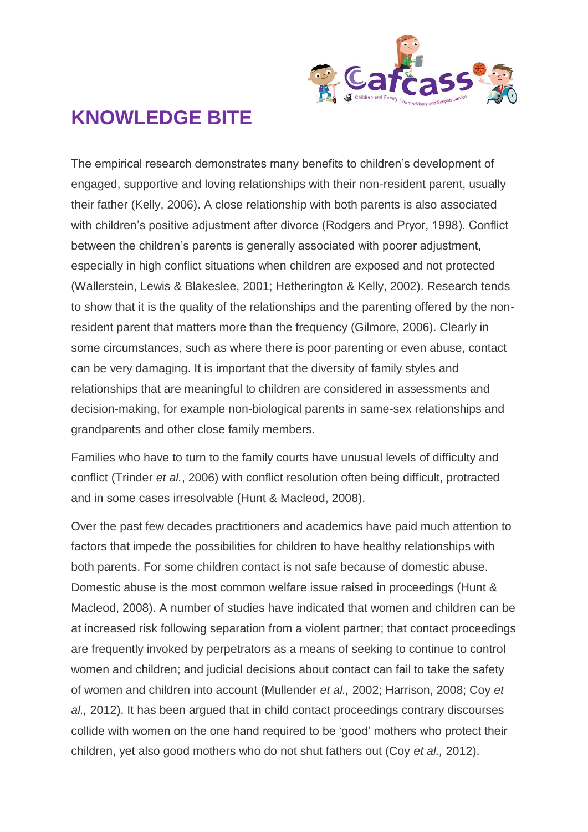

The empirical research demonstrates many benefits to children's development of engaged, supportive and loving relationships with their non-resident parent, usually their father (Kelly, 2006). A close relationship with both parents is also associated with children's positive adjustment after divorce (Rodgers and Pryor, 1998). Conflict between the children's parents is generally associated with poorer adjustment, especially in high conflict situations when children are exposed and not protected (Wallerstein, Lewis & Blakeslee, 2001; Hetherington & Kelly, 2002). Research tends to show that it is the quality of the relationships and the parenting offered by the nonresident parent that matters more than the frequency (Gilmore, 2006). Clearly in some circumstances, such as where there is poor parenting or even abuse, contact can be very damaging. It is important that the diversity of family styles and relationships that are meaningful to children are considered in assessments and decision-making, for example non-biological parents in same-sex relationships and grandparents and other close family members.

Families who have to turn to the family courts have unusual levels of difficulty and conflict (Trinder *et al.*, 2006) with conflict resolution often being difficult, protracted and in some cases irresolvable (Hunt & Macleod, 2008).

Over the past few decades practitioners and academics have paid much attention to factors that impede the possibilities for children to have healthy relationships with both parents. For some children contact is not safe because of domestic abuse. Domestic abuse is the most common welfare issue raised in proceedings (Hunt & Macleod, 2008). A number of studies have indicated that women and children can be at increased risk following separation from a violent partner; that contact proceedings are frequently invoked by perpetrators as a means of seeking to continue to control women and children; and judicial decisions about contact can fail to take the safety of women and children into account (Mullender *et al.,* 2002; Harrison, 2008; Coy *et al.,* 2012). It has been argued that in child contact proceedings contrary discourses collide with women on the one hand required to be 'good' mothers who protect their children, yet also good mothers who do not shut fathers out (Coy *et al.,* 2012).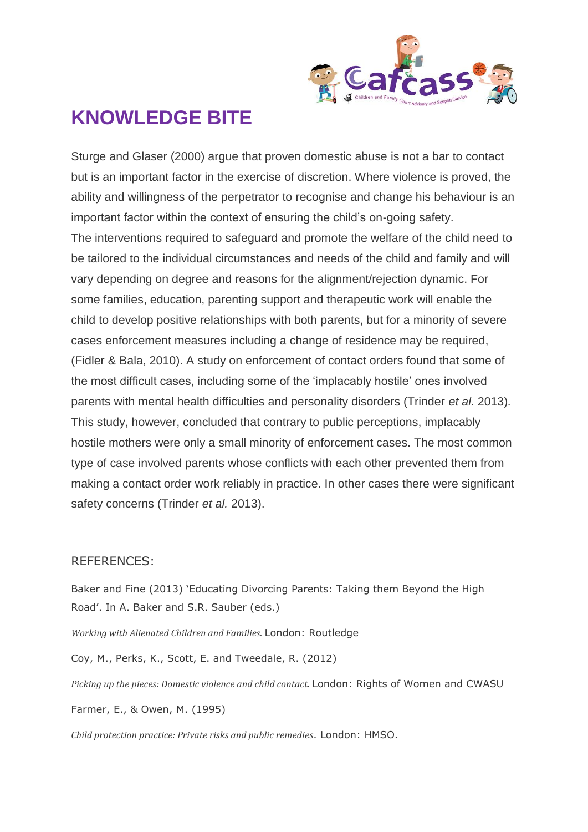

Sturge and Glaser (2000) argue that proven domestic abuse is not a bar to contact but is an important factor in the exercise of discretion. Where violence is proved, the ability and willingness of the perpetrator to recognise and change his behaviour is an important factor within the context of ensuring the child's on-going safety. The interventions required to safeguard and promote the welfare of the child need to be tailored to the individual circumstances and needs of the child and family and will vary depending on degree and reasons for the alignment/rejection dynamic. For some families, education, parenting support and therapeutic work will enable the child to develop positive relationships with both parents, but for a minority of severe cases enforcement measures including a change of residence may be required, (Fidler & Bala, 2010). A study on enforcement of contact orders found that some of the most difficult cases, including some of the 'implacably hostile' ones involved parents with mental health difficulties and personality disorders (Trinder *et al.* 2013)*.*  This study, however, concluded that contrary to public perceptions, implacably hostile mothers were only a small minority of enforcement cases. The most common type of case involved parents whose conflicts with each other prevented them from making a contact order work reliably in practice. In other cases there were significant safety concerns (Trinder *et al.* 2013).

#### REFERENCES:

Baker and Fine (2013) 'Educating Divorcing Parents: Taking them Beyond the High Road'. In A. Baker and S.R. Sauber (eds.)

*Working with Alienated Children and Families.* London: Routledge

Coy, M., Perks, K., Scott, E. and Tweedale, R. (2012)

*Picking up the pieces: Domestic violence and child contact.* London: Rights of Women and CWASU

Farmer, E., & Owen, M. (1995)

*Child protection practice: Private risks and public remedies*. London: HMSO.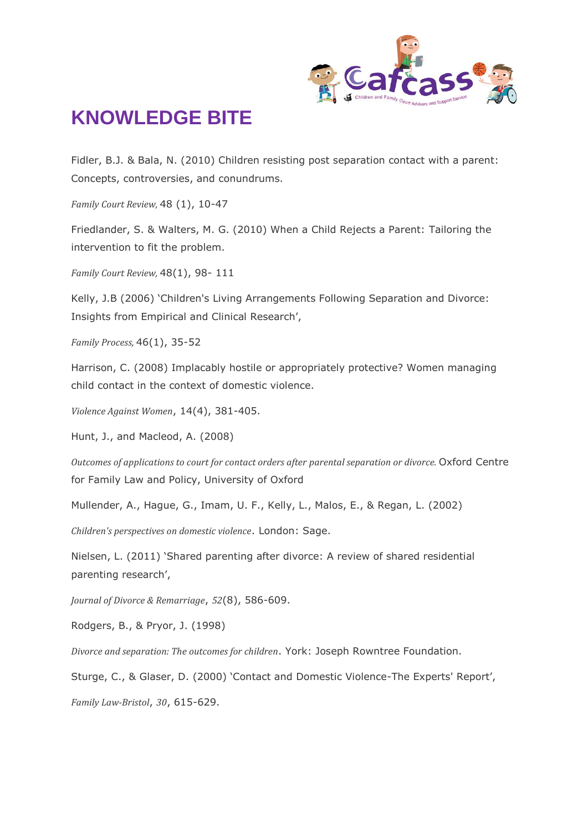

Fidler, B.J. & Bala, N. (2010) Children resisting post separation contact with a parent: Concepts, controversies, and conundrums.

*Family Court Review,* 48 (1), 10-47

Friedlander, S. & Walters, M. G. (2010) When a Child Rejects a Parent: Tailoring the intervention to fit the problem.

*Family Court Review,* 48(1), 98- 111

Kelly, J.B (2006) 'Children's Living Arrangements Following Separation and Divorce: Insights from Empirical and Clinical Research',

*Family Process,* 46(1), 35-52

Harrison, C. (2008) Implacably hostile or appropriately protective? Women managing child contact in the context of domestic violence.

*Violence Against Women*, 14(4), 381-405.

Hunt, J., and Macleod, A. (2008)

*Outcomes of applications to court for contact orders after parental separation or divorce.* Oxford Centre for Family Law and Policy, University of Oxford

Mullender, A., Hague, G., Imam, U. F., Kelly, L., Malos, E., & Regan, L. (2002)

*Children's perspectives on domestic violence*. London: Sage.

Nielsen, L. (2011) 'Shared parenting after divorce: A review of shared residential parenting research',

*Journal of Divorce & Remarriage*, *52*(8), 586-609.

Rodgers, B., & Pryor, J. (1998)

*Divorce and separation: The outcomes for children*. York: Joseph Rowntree Foundation.

Sturge, C., & Glaser, D. (2000) 'Contact and Domestic Violence-The Experts' Report',

*Family Law-Bristol*, *30*, 615-629.